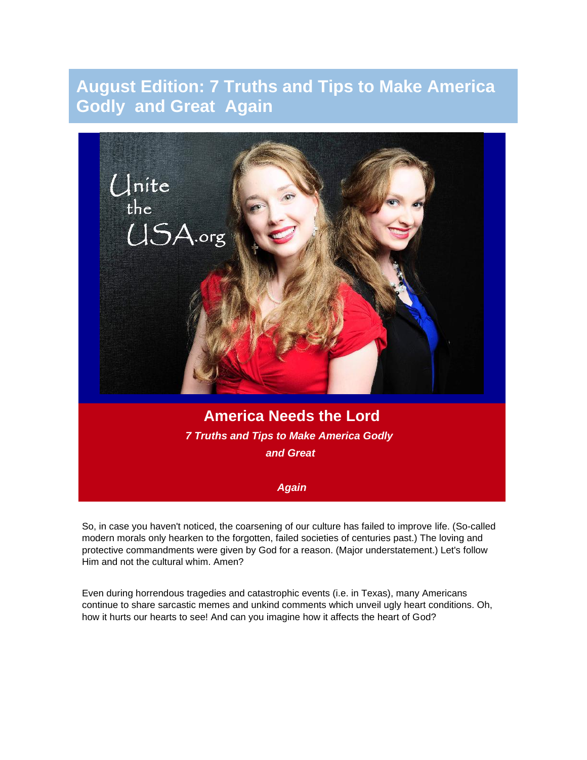# **August Edition: 7 Truths and Tips to Make America Godly and Great Again**



So, in case you haven't noticed, the coarsening of our culture has failed to improve life. (So-called modern morals only hearken to the forgotten, failed societies of centuries past.) The loving and protective commandments were given by God for a reason. (Major understatement.) Let's follow Him and not the cultural whim. Amen?

Even during horrendous tragedies and catastrophic events (i.e. in Texas), many Americans continue to share sarcastic memes and unkind comments which unveil ugly heart conditions. Oh, how it hurts our hearts to see! And can you imagine how it affects the heart of God?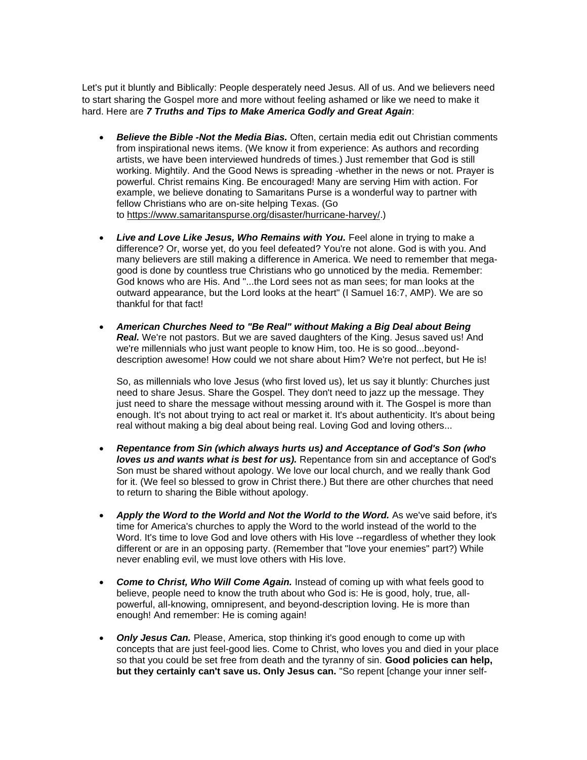Let's put it bluntly and Biblically: People desperately need Jesus. All of us. And we believers need to start sharing the Gospel more and more without feeling ashamed or like we need to make it hard. Here are *7 Truths and Tips to Make America Godly and Great Again*:

- *Believe the Bible -Not the Media Bias.* Often, certain media edit out Christian comments from inspirational news items. (We know it from experience: As authors and recording artists, we have been interviewed hundreds of times.) Just remember that God is still working. Mightily. And the Good News is spreading -whether in the news or not. Prayer is powerful. Christ remains King. Be encouraged! Many are serving Him with action. For example, we believe donating to Samaritans Purse is a wonderful way to partner with fellow Christians who are on-site helping Texas. (Go to [https://www.samaritanspurse.org/disaster/hurricane-harvey/.](http://r20.rs6.net/tn.jsp?t=yschb69ab.0.0.4h4hhncab.0&id=preview&r=3&p=https%3A%2F%2Fwww.samaritanspurse.org%2Fdisaster%2Fhurricane-harvey%2F))
- Live and Love Like Jesus, Who Remains with You. Feel alone in trying to make a difference? Or, worse yet, do you feel defeated? You're not alone. God is with you. And many believers are still making a difference in America. We need to remember that megagood is done by countless true Christians who go unnoticed by the media. Remember: God knows who are His. And "...the Lord sees not as man sees; for man looks at the outward appearance, but the Lord looks at the heart" (I Samuel 16:7, AMP). We are so thankful for that fact!
- *American Churches Need to "Be Real" without Making a Big Deal about Being Real.* We're not pastors. But we are saved daughters of the King. Jesus saved us! And we're millennials who just want people to know Him, too. He is so good...beyonddescription awesome! How could we not share about Him? We're not perfect, but He is!

So, as millennials who love Jesus (who first loved us), let us say it bluntly: Churches just need to share Jesus. Share the Gospel. They don't need to jazz up the message. They just need to share the message without messing around with it. The Gospel is more than enough. It's not about trying to act real or market it. It's about authenticity. It's about being real without making a big deal about being real. Loving God and loving others...

- *Repentance from Sin (which always hurts us) and Acceptance of God's Son (who loves us and wants what is best for us).* Repentance from sin and acceptance of God's Son must be shared without apology. We love our local church, and we really thank God for it. (We feel so blessed to grow in Christ there.) But there are other churches that need to return to sharing the Bible without apology.
- *Apply the Word to the World and Not the World to the Word.* As we've said before, it's time for America's churches to apply the Word to the world instead of the world to the Word. It's time to love God and love others with His love --regardless of whether they look different or are in an opposing party. (Remember that "love your enemies" part?) While never enabling evil, we must love others with His love.
- *Come to Christ, Who Will Come Again.* Instead of coming up with what feels good to believe, people need to know the truth about who God is: He is good, holy, true, allpowerful, all-knowing, omnipresent, and beyond-description loving. He is more than enough! And remember: He is coming again!
- **Only Jesus Can.** Please, America, stop thinking it's good enough to come up with concepts that are just feel-good lies. Come to Christ, who loves you and died in your place so that you could be set free from death and the tyranny of sin. **Good policies can help, but they certainly can't save us. Only Jesus can.** "So repent [change your inner self-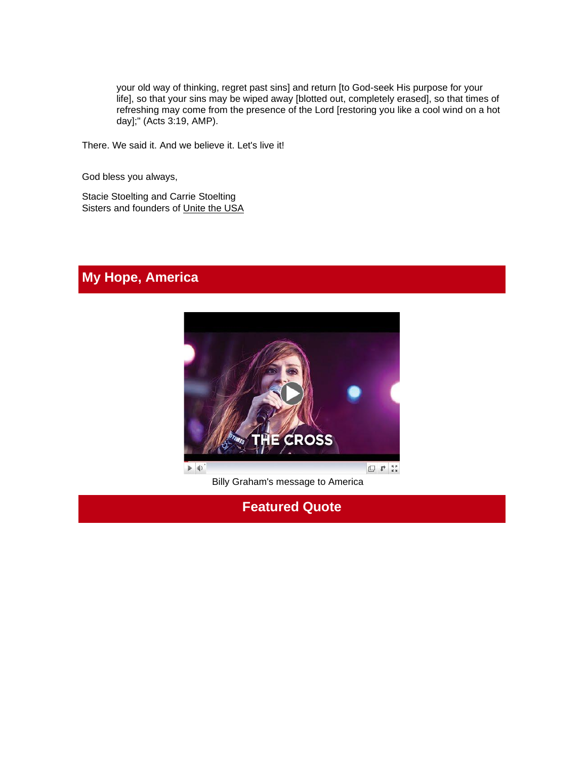your old way of thinking, regret past sins] and return [to God-seek His purpose for your life], so that your sins may be wiped away [blotted out, completely erased], so that times of refreshing may come from the presence of the Lord [restoring you like a cool wind on a hot day];" (Acts 3:19, AMP).

There. We said it. And we believe it. Let's live it!

God bless you always,

Stacie Stoelting and Carrie Stoelting Sisters and founders of [Unite the USA](http://unitetheusa.org/index.html)

# **My Hope, America**



Billy Graham's message to America

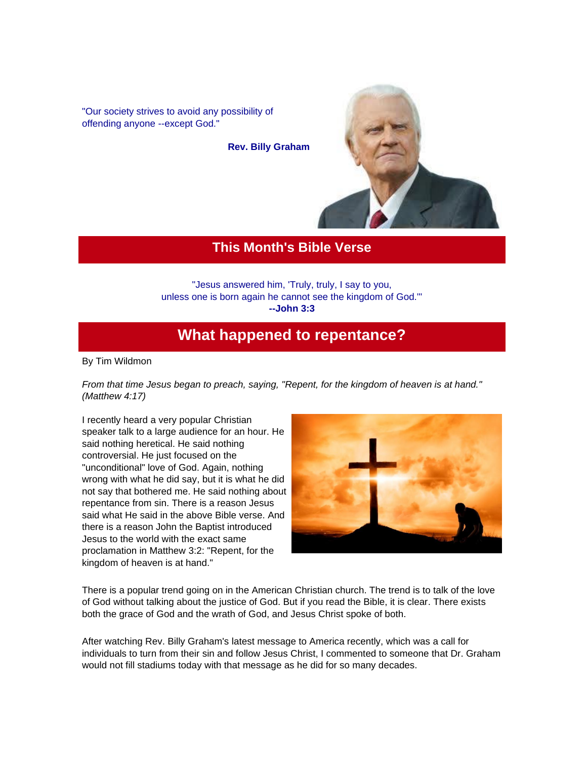"Our society strives to avoid any possibility of offending anyone --except God."

**Rev. Billy Graham**



#### **This Month's Bible Verse**

"Jesus answered him, 'Truly, truly, I say to you, unless one is born again he cannot see the kingdom of God.'" **--John 3:3**

## **What happened to repentance?**

By Tim Wildmon

*From that time Jesus began to preach, saying, "Repent, for the kingdom of heaven is at hand." (Matthew 4:17)*

I recently heard a very popular Christian speaker talk to a large audience for an hour. He said nothing heretical. He said nothing controversial. He just focused on the "unconditional" love of God. Again, nothing wrong with what he did say, but it is what he did not say that bothered me. He said nothing about repentance from sin. There is a reason Jesus said what He said in the above Bible verse. And there is a reason John the Baptist introduced Jesus to the world with the exact same proclamation in Matthew 3:2: "Repent, for the kingdom of heaven is at hand."



There is a popular trend going on in the American Christian church. The trend is to talk of the love of God without talking about the justice of God. But if you read the Bible, it is clear. There exists both the grace of God and the wrath of God, and Jesus Christ spoke of both.

After watching Rev. Billy Graham's latest message to America recently, which was a call for individuals to turn from their sin and follow Jesus Christ, I commented to someone that Dr. Graham would not fill stadiums today with that message as he did for so many decades.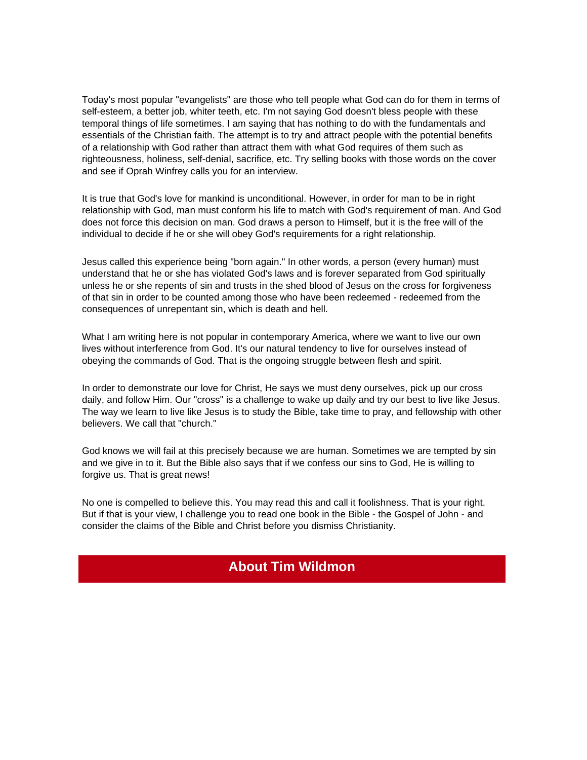Today's most popular "evangelists" are those who tell people what God can do for them in terms of self-esteem, a better job, whiter teeth, etc. I'm not saying God doesn't bless people with these temporal things of life sometimes. I am saying that has nothing to do with the fundamentals and essentials of the Christian faith. The attempt is to try and attract people with the potential benefits of a relationship with God rather than attract them with what God requires of them such as righteousness, holiness, self-denial, sacrifice, etc. Try selling books with those words on the cover and see if Oprah Winfrey calls you for an interview.

It is true that God's love for mankind is unconditional. However, in order for man to be in right relationship with God, man must conform his life to match with God's requirement of man. And God does not force this decision on man. God draws a person to Himself, but it is the free will of the individual to decide if he or she will obey God's requirements for a right relationship.

Jesus called this experience being "born again." In other words, a person (every human) must understand that he or she has violated God's laws and is forever separated from God spiritually unless he or she repents of sin and trusts in the shed blood of Jesus on the cross for forgiveness of that sin in order to be counted among those who have been redeemed - redeemed from the consequences of unrepentant sin, which is death and hell.

What I am writing here is not popular in contemporary America, where we want to live our own lives without interference from God. It's our natural tendency to live for ourselves instead of obeying the commands of God. That is the ongoing struggle between flesh and spirit.

In order to demonstrate our love for Christ, He says we must deny ourselves, pick up our cross daily, and follow Him. Our "cross" is a challenge to wake up daily and try our best to live like Jesus. The way we learn to live like Jesus is to study the Bible, take time to pray, and fellowship with other believers. We call that "church."

God knows we will fail at this precisely because we are human. Sometimes we are tempted by sin and we give in to it. But the Bible also says that if we confess our sins to God, He is willing to forgive us. That is great news!

No one is compelled to believe this. You may read this and call it foolishness. That is your right. But if that is your view, I challenge you to read one book in the Bible - the Gospel of John - and consider the claims of the Bible and Christ before you dismiss Christianity.

## **About Tim Wildmon**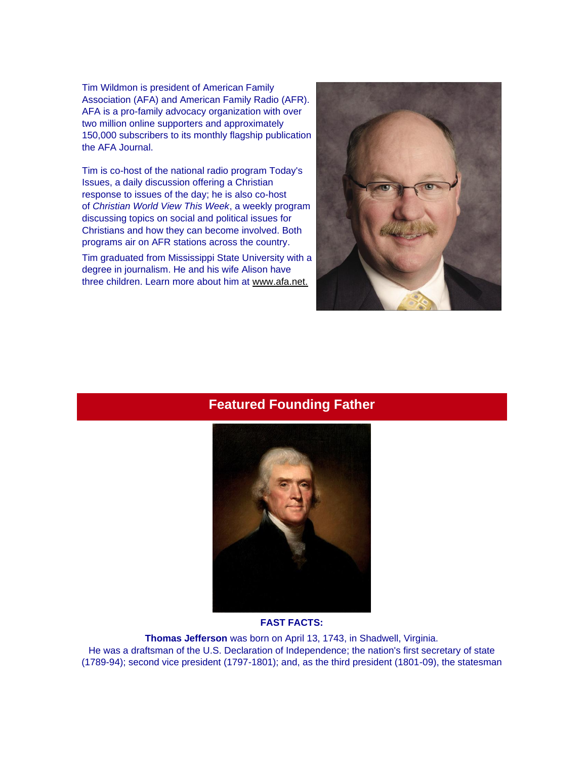Tim Wildmon is president of American Family Association (AFA) and American Family Radio (AFR). AFA is a pro-family advocacy organization with over two million online supporters and approximately 150,000 subscribers to its monthly flagship publication the AFA Journal.

Tim is co-host of the national radio program Today's Issues, a daily discussion offering a Christian response to issues of the day; he is also co-host of *Christian World View This Week*, a weekly program discussing topics on social and political issues for Christians and how they can become involved. Both programs air on AFR stations across the country.

Tim graduated from Mississippi State University with a degree in journalism. He and his wife Alison have three children. Learn more about him at [www.afa.net.](http://r20.rs6.net/tn.jsp?t=yschb69ab.0.0.4h4hhncab.0&id=preview&r=3&p=http%3A%2F%2Fwww.afa.net.)



### **Featured Founding Father**



#### **FAST FACTS:**

**Thomas Jefferson** was born on April 13, 1743, in Shadwell, Virginia. He was a draftsman of the U.S. Declaration of Independence; the nation's first secretary of state (1789-94); second vice president (1797-1801); and, as the third president (1801-09), the statesman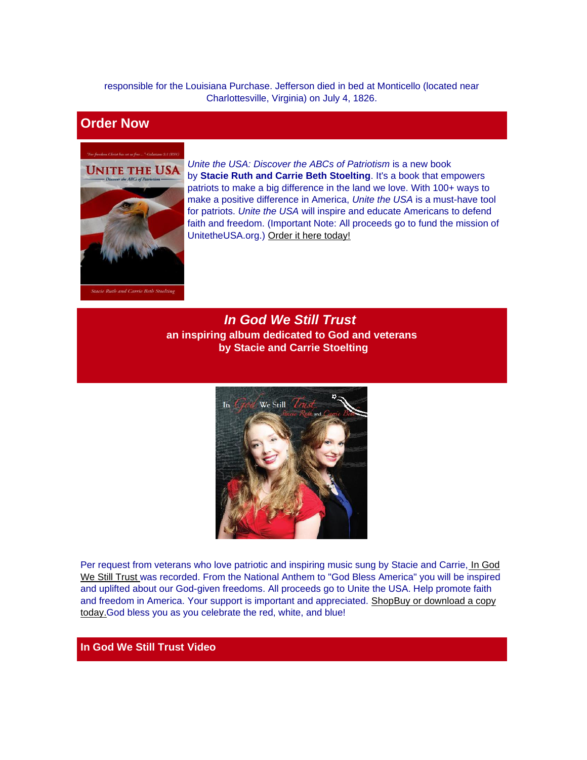responsible for the Louisiana Purchase. Jefferson died in bed at Monticello (located near Charlottesville, Virginia) on July 4, 1826.

### **Order Now**



*Unite the USA: Discover the ABCs of Patriotism* is a new book by **Stacie Ruth and Carrie Beth Stoelting**. It's a book that empowers patriots to make a big difference in the land we love. With 100+ ways to make a positive difference in America, *Unite the USA* is a must-have tool for patriots. *Unite the USA* will inspire and educate Americans to defend faith and freedom. (Important Note: All proceeds go to fund the mission of UnitetheUSA.org.) [Order it here today!](http://r20.rs6.net/tn.jsp?t=yschb69ab.0.0.4h4hhncab.0&id=preview&r=3&p=http%3A%2F%2Funitetheusa.org%2Fid56.html)

*In God We Still Trust* **an inspiring album dedicated to God and veterans by Stacie and Carrie Stoelting**



Per request from veterans who love patriotic and inspiring music sung by Stacie and Carrie, *In God* [We Still Trust](http://r20.rs6.net/tn.jsp?t=yschb69ab.0.0.4h4hhncab.0&id=preview&r=3&p=http%3A%2F%2Funitetheusa.org%2Fid56.html) was recorded. From the National Anthem to "God Bless America" you will be inspired and uplifted about our God-given freedoms. All proceeds go to Unite the USA. Help promote faith and freedom in America. Your support is important and appreciated. [Shop](http://unitetheusa.org/id56.html)[Buy or download a copy](http://r20.rs6.net/tn.jsp?t=yschb69ab.0.0.4h4hhncab.0&id=preview&r=3&p=http%3A%2F%2Funitetheusa.org%2Fid56.html)  [today.G](http://r20.rs6.net/tn.jsp?t=yschb69ab.0.0.4h4hhncab.0&id=preview&r=3&p=http%3A%2F%2Funitetheusa.org%2Fid56.html)od bless you as you celebrate the red, white, and blue!

#### **In God We Still Trust Video**